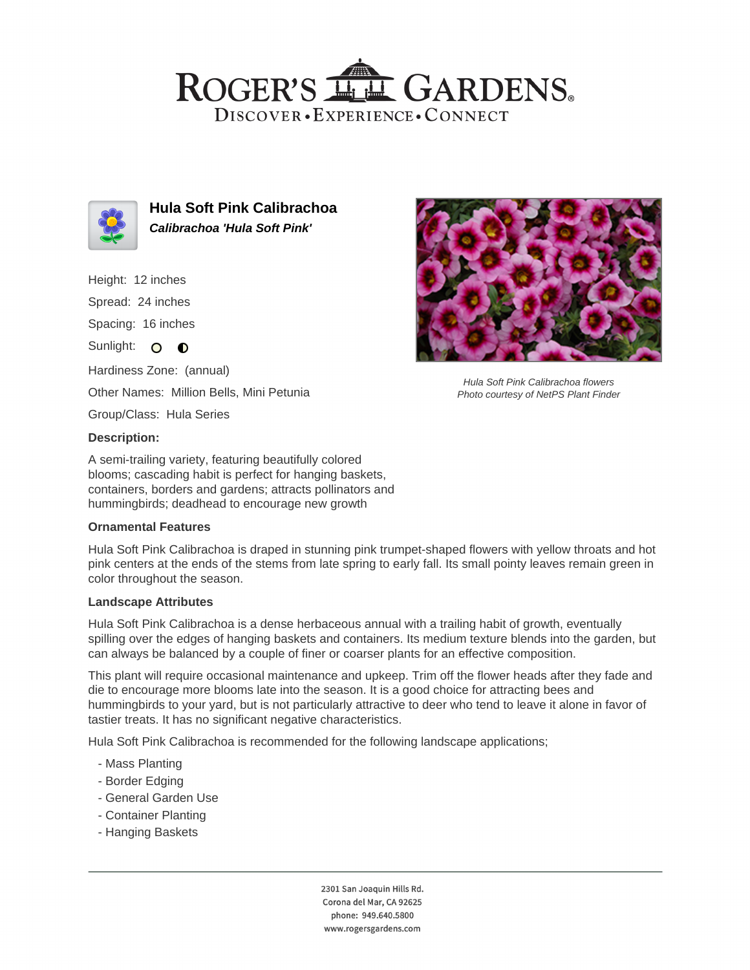## ROGER'S LLE GARDENS. DISCOVER · EXPERIENCE · CONNECT



**Hula Soft Pink Calibrachoa Calibrachoa 'Hula Soft Pink'**

Height: 12 inches

Spread: 24 inches

Spacing: 16 inches

Sunlight: O O

Hardiness Zone: (annual) Other Names: Million Bells, Mini Petunia

Group/Class: Hula Series

### **Description:**

A semi-trailing variety, featuring beautifully colored blooms; cascading habit is perfect for hanging baskets, containers, borders and gardens; attracts pollinators and hummingbirds; deadhead to encourage new growth

#### **Ornamental Features**

Hula Soft Pink Calibrachoa is draped in stunning pink trumpet-shaped flowers with yellow throats and hot pink centers at the ends of the stems from late spring to early fall. Its small pointy leaves remain green in color throughout the season.

#### **Landscape Attributes**

Hula Soft Pink Calibrachoa is a dense herbaceous annual with a trailing habit of growth, eventually spilling over the edges of hanging baskets and containers. Its medium texture blends into the garden, but can always be balanced by a couple of finer or coarser plants for an effective composition.

This plant will require occasional maintenance and upkeep. Trim off the flower heads after they fade and die to encourage more blooms late into the season. It is a good choice for attracting bees and hummingbirds to your yard, but is not particularly attractive to deer who tend to leave it alone in favor of tastier treats. It has no significant negative characteristics.

Hula Soft Pink Calibrachoa is recommended for the following landscape applications;

- Mass Planting
- Border Edging
- General Garden Use
- Container Planting
- Hanging Baskets



Hula Soft Pink Calibrachoa flowers Photo courtesy of NetPS Plant Finder

2301 San Joaquin Hills Rd. Corona del Mar, CA 92625 phone: 949.640.5800 www.rogersgardens.com